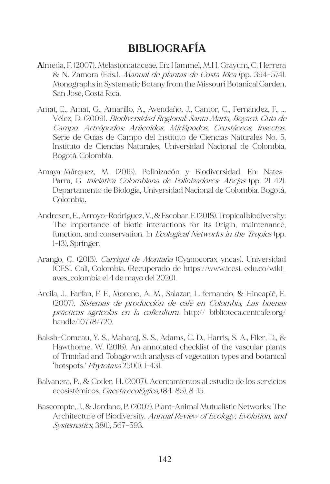## **BIBLIOGRAFÍA**

- **A**lmeda, F. (2007). Melastomataceae. En: Hammel, M.H. Grayum, C. Herrera & N. Zamora (Eds.). Manual de plantas de Costa Rica (pp. 394–574). Monographs in Systematic Botany from the Missouri Botanical Garden, San José, Costa Rica.
- Amat, E., Amat, G., Amarillo, A., Avendaño, J., Cantor, C., Fernández, F., ... Vélez, D. (2009). Biodiversidad Regional: Santa María, Boyacá. Guía de Campo. Artrópodos: Arácnidos, Miriápodos, Crustáceos, Insectos. Serie de Guías de Campo del Instituto de Ciencias Naturales No. 5. Instituto de Ciencias Naturales, Universidad Nacional de Colombia, Bogotá, Colombia.
- Amaya-Márquez, M. (2016). Polinizacón y Biodiversidad. En: Nates-Parra, G. *Iniciativa Colombiana de Polinizadores: Abejas* (pp. 21-42). Departamento de Biología, Universidad Nacional de Colombia, Bogotá, Colombia.
- Andresen, E., Arroyo-Rodríguez, V., & Escobar, F. (2018). Tropical biodiversity: The Importance of biotic interactions for its 0rigin, maintenance, function, and conservation. In *Ecological Networks in the Tropics* (pp. 1–13), Springer.
- Arango, C. (2013). Carriquí de Montaña (Cyanocorax yncas). Universidad ICESI. Cali, Colombia. (Recuperado de https://www.icesi. edu.co/wiki\_ aves\_colombia el 4 de mayo del 2020).
- Arcila, J., Farfan, F. F., Moreno, A. M., Salazar, L. fernando, & Hincapié, E. (2007). Sistemas de producción de café en Colombia, Las buenas prácticas agrícolas en la caficultura. http:// biblioteca.cenicafe.org/ handle/10778/720.
- Baksh-Comeau, Y. S., Maharaj, S. S., Adams, C. D., Harris, S. A., Filer, D., & Hawthorne, W. (2016). An annotated checklist of the vascular plants of Trinidad and Tobago with analysis of vegetation types and botanical 'hotspots.' Phytotaxa 250(1), 1-431.
- Balvanera, P., & Cotler, H. (2007). Acercamientos al estudio de los servicios ecosistémicos. Gaceta ecológica, (84-85), 8-15.
- Bascompte, J., & Jordano, P. (2007). Plant-Animal Mutualistic Networks: The Architecture of Biodiversity. Annual Review of Ecology, Evolution, and Systematics, 38(1), 567–593.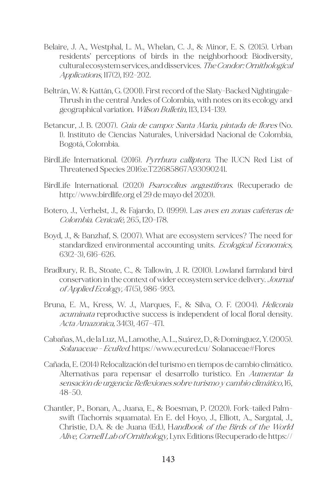- Belaire, J. A., Westphal, L. M., Whelan, C. J., & Minor, E. S. (2015). Urban residents' perceptions of birds in the neighborhood: Biodiversity, cultural ecosystem services, and disservices. The Condor: Ornithological Applications, 117(2), 192-202.
- Beltrán, W. & Kattán, G. (2001). First record of the Slaty-Backed Nightingale-Thrush in the central Andes of Colombia, with notes on its ecology and geographical variation. Wilson Bulletin, 113, 134-139.
- Betancur, J. B. (2007). *Guía de campo: Santa María, pintada de flores* (No. 1). Instituto de Ciencias Naturales, Universidad Nacional de Colombia, Bogotá, Colombia.
- BirdLife International. (2016). Pyrrhura calliptera. The IUCN Red List of Threatened Species 2016:e.T22685867A93090241.
- BirdLife International. (2020) *Psarocolius angustifrons*. (Recuperado de http://www.birdlife.org el 29 de mayo del 2020).
- Botero, J., Verhelst, J., & Fajardo, D. (1999). L*as aves en zonas cafeteras de* Colombia. Cenicafé, 265, 120–178.
- Boyd, J., & Banzhaf, S. (2007). What are ecosystem services? The need for standardized environmental accounting units. Ecological Economics, 63(2-3), 616-626.
- Bradbury, R. B., Stoate, C., & Tallowin, J. R. (2010). Lowland farmland bird conservation in the context of wider ecosystem service delivery. Journal of Applied Ecology, 47(5), 986-993.
- Bruna, E. M., Kress, W. J., Marques, F., & Silva, O. F. (2004). *Heliconia* acuminata reproductive success is independent of local floral density. Acta Amazonica, 34(3), 467–471.
- Cabañas, M., de la Luz, M., Lamothe, A. L., Suárez, D., & Domínguez, Y. (2005). Solanaceae - EcuRed. https://www.ecured.cu/ Solanaceae#Flores
- Cañada, E. (2014) Relocalización del turismo en tiempos de cambio climático. Alternativas para repensar el desarrollo turístico. En Aumentar la sensación de urgencia: Reflexiones sobre turismo y cambio climático, 16, 48-50.
- Chantler, P., Bonan, A., Juana, E., & Boesman, P. (2020). Fork-tailed Palmswift (Tachornis squamata). En E. del Hoyo, J., Elliott, A., Sargatal, J., Christie, D.A. & de Juana (Ed.), Handbook of the Birds of the World Alive, Cornell Lab of Ornithology, Lynx Editions (Recuperado de https://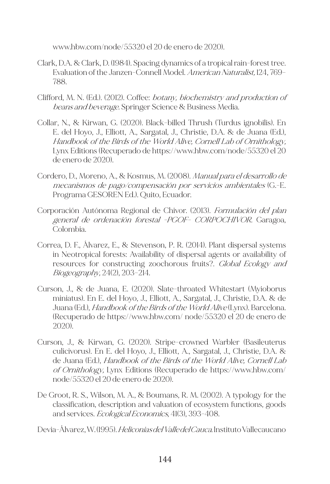www.hbw.com/node/55320 el 20 de enero de 2020).

- Clark, D.A. & Clark, D. (1984). Spacing dynamics of a tropical rain-forest tree. Evaluation of the Janzen-Connell Model. American Naturalist, 124, 769-788.
- Clifford, M. N. (Ed.). (2012). Coffee: botany, biochemistry and production of beans and beverage. Springer Science & Business Media.
- Collar, N., & Kirwan, G. (2020). Black-billed Thrush (Turdus ignobilis). En E. del Hoyo, J., Elliott, A., Sargatal, J., Christie, D.A. & de Juana (Ed.), Handbook of the Birds of the World Alive, Cornell Lab of Ornithology, Lynx Editions (Recuperado de https://www.hbw.com/node/55320 el 20 de enero de 2020).
- Cordero, D., Moreno, A., & Kosmus, M. (2008). Manual para el desarrollo de mecanismos de pago/compensación por servicios ambientales (G.-E. Programa GESOREN Ed.). Quito, Ecuador.
- Corporación Autónoma Regional de Chivor. (2013). Formulación del plan general de ordenación forestal -PGOF- CORPOCHIVOR. Garagoa, Colombia.
- Correa, D. F., Álvarez, E., & Stevenson, P. R. (2014). Plant dispersal systems in Neotropical forests: Availability of dispersal agents or availability of resources for constructing zoochorous fruits?. Global Ecology and Biogeography, 24(2), 203–214.
- Curson, J., & de Juana, E. (2020). Slate-throated Whitestart (Myioborus miniatus). En E. del Hoyo, J., Elliott, A., Sargatal, J., Christie, D.A. & de Juana (Ed.), *Handbook of the Birds of the World Alive* (Lynx). Barcelona. (Recuperado de https://www.hbw.com/ node/55320 el 20 de enero de 2020).
- Curson, J., & Kirwan, G. (2020). Stripe-crowned Warbler (Basileuterus culicivorus). En E. del Hoyo, J., Elliott, A., Sargatal, J., Christie, D.A. & de Juana (Ed.), *Handbook of the Birds of the World Alive, Cornell Lab* of Ornithology, Lynx Editions (Recuperado de https://www.hbw.com/ node/55320 el 20 de enero de 2020).
- De Groot, R. S., Wilson, M. A., & Boumans, R. M. (2002). A typology for the classification, description and valuation of ecosystem functions, goods and services. Ecological Economics, 41(3), 393-408.

Devia-Álvarez, W. (1995). Heliconias del Valle del Cauca. Instituto Vallecaucano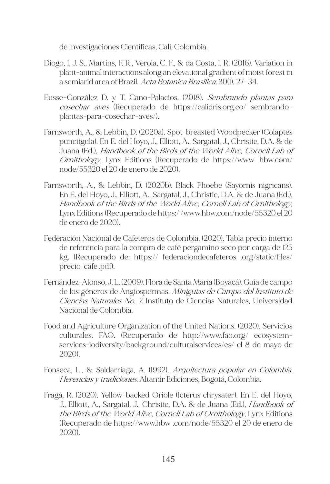de Investigaciones Científicas, Cali, Colombia.

- Diogo, I. J. S., Martins, F. R., Verola, C. F., & da Costa, I. R. (2016). Variation in plant-animal interactions along an elevational gradient of moist forest in a semiarid area of Brazil. Acta Botanica Brasilica, 30(1), 27–34.
- Eusse-González D. y T. Cano-Palacios. (2018). Sembrando plantas para cosechar aves (Recuperado de https://calidris.org.co/ sembrandoplantas-para-cosechar-aves/).
- Farnsworth, A., & Lebbin, D. (2020a). Spot-breasted Woodpecker (Colaptes punctigula). En E. del Hoyo, J., Elliott, A., Sargatal, J., Christie, D.A. & de Juana (Ed.), Handbook of the Birds of the World Alive, Cornell Lab of Ornithology, Lynx Editions (Recuperado de https://www. hbw.com/ node/55320 el 20 de enero de 2020).
- Farnsworth, A., & Lebbin, D. (2020b). Black Phoebe (Sayornis nigricans). En E. del Hoyo, J., Elliott, A., Sargatal, J., Christie, D.A. & de Juana (Ed.), Handbook of the Birds of the World Alive, Cornell Lab of Ornithology, Lynx Editions (Recuperado de https:/ /www.hbw.com/node/55320 el 20 de enero de 2020).
- Federación Nacional de Cafeteros de Colombia. (2020). Tabla precio interno de referencia para la compra de café pergamino seco por carga de 125 kg. (Recuperado de: https:// federaciondecafeteros .org/static/files/ precio\_cafe .pdf).
- Fernández-Alonso, J. L. (2009). Flora de Santa María (Boyacá). Guía de campo de los géneros de Angiospermas. Miniguías de Campo del Instituto de Ciencias Naturales No. 7. Instituto de Ciencias Naturales, Universidad Nacional de Colombia.
- Food and Agriculture Organization of the United Nations. (2020). Servicios culturales. FAO. (Recuperado de http://www.fao.org/ ecosystemservices-iodiversity/background/culturalservices/es/ el 8 de mayo de 2020).
- Fonseca, L., & Saldarriaga, A. (1992). Arquitectura popular en Colombia. Herencias y tradiciones. Altamir Ediciones, Bogotá, Colombia.
- Fraga, R. (2020). Yellow-backed Oriole (Icterus chrysater). En E. del Hoyo, J., Elliott, A., Sargatal, J., Christie, D.A. & de Juana (Ed.), *Handbook of* the Birds of the World Alive, Cornell Lab of Ornithology, Lynx Editions (Recuperado de https://www.hbw .com/node/55320 el 20 de enero de 2020).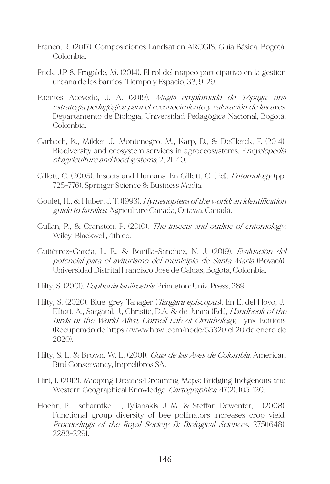- Franco, R. (2017). Composiciones Landsat en ARCGIS. Guía Básica. Bogotá, Colombia.
- Frick, J.P & Fragalde, M. (2014). El rol del mapeo participativo en la gestión urbana de los barrios. Tiempo y Espacio, 33, 9-29.
- Fuentes Acevedo, J. A. (2019). Magia emplumada de Tópaga: una estrategia pedagógica para el reconocimiento y valoración de las aves. Departamento de Biología, Universidad Pedagógica Nacional, Bogotá, Colombia.
- Garbach, K., Milder, J., Montenegro, M., Karp, D., & DeClerck, F. (2014). Biodiversity and ecosystem services in agroecosystems. Encyclopedia of agriculture and food systems, 2, 21-40.
- Gillott, C. (2005). Insects and Humans. En Gillott, C. (Ed). *Entomology* (pp. 725-776). Springer Science & Business Media.
- Goulet, H., & Huber, J. T. (1993). Hymenoptera of the world: an identification guide to families. Agriculture Canada, Ottawa, Canadá.
- Gullan, P., & Cranston, P. (2010). The insects and outline of entomology. Wiley-Blackwell, 4th ed.
- Gutiérrez-García, L. E., & Bonilla-Sánchez, N. J. (2019). Evaluación del potencial para el aviturismo del municipio de Santa María (Boyacá). Universidad Distrital Francisco José de Caldas, Bogotá, Colombia.
- Hilty, S. (2001). Euphonia laniirostris. Princeton: Univ. Press, 289.
- Hilty, S. (2020). Blue-grey Tanager (*Tangara episcopus*). En E. del Hoyo, J., Elliott, A., Sargatal, J., Christie, D.A. & de Juana (Ed.), *Handbook of the* Birds of the World Alive, Cornell Lab of Ornithology, Lynx Editions (Recuperado de https://www.hbw .com/node/55320 el 20 de enero de 2020).
- Hilty, S. L. & Brown, W. L. (2001). Guía de las Aves de Colombia. American Bird Conservancy, Imprelibros SA.
- Hirt, I. (2012). Mapping Dreams/Dreaming Maps: Bridging Indigenous and Western Geographical Knowledge. Cartographica, 47(2), 105-120.
- Hoehn, P., Tscharntke, T., Tylianakis, J. M., & Steffan-Dewenter, I. (2008). Functional group diversity of bee pollinators increases crop yield. Proceedings of the Royal Society B: Biological Sciences, 275(1648), 2283-2291.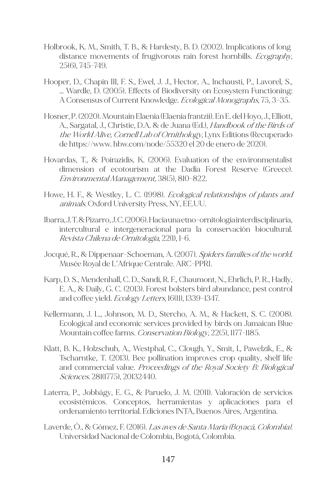- Holbrook, K. M., Smith, T. B., & Hardesty, B. D. (2002). Implications of long‐ distance movements of frugivorous rain forest hornbills. *Ecography*, 25(6), 745-749.
- Hooper, D., Chapin III, F. S., Ewel, J. J., Hector, A., Inchausti, P., Lavorel, S., … Wardle, D. (2005). Effects of Biodiversity on Ecosystem Functioning: A Consensus of Current Knowledge. Ecological Monographs, 75, 3–35.
- Hosner, P. (2020). Mountain Elaenia (Elaenia frantzii). En E. del Hoyo, J., Elliott, A., Sargatal, J., Christie, D.A. & de Juana (Ed.), Handbook of the Birds of the World Alive, Cornell Lab of Ornithology, Lynx Editions (Recuperado de https://www. hbw.com/node/55320 el 20 de enero de 2020).
- Hovardas, T., & Poirazidis, K. (2006). Evaluation of the environmentalist dimension of ecotourism at the Dadia Forest Reserve (Greece). Environmental Management, 38(5), 810-822.
- Howe, H. F., & Westley, L. C. (1998). *Ecological relationships of plants and* animals. Oxford University Press, NY, EE.UU.
- Ibarra, J. T. & Pizarro, J. C. (2006). Hacia una etno–ornitología interdisciplinaria, intercultural e intergeneracional para la conservación biocultural. Revista Chilena de Ornitología, 22(1), 1-6.
- Jocqué, R., & Dippenaar-Schoeman, A. (2007). Spiders families of the world. Musée Royal de L'Afrique Centrale. ARC-PPRI.
- Karp, D. S., Mendenhall, C. D., Sandí, R. F., Chaumont, N., Ehrlich, P. R., Hadly, E. A., & Daily, G. C. (2013). Forest bolsters bird abundance, pest control and coffee yield. Ecology Letters, 16(11), 1339-1347.
- Kellermann, J. L., Johnson, M. D., Stercho, A. M., & Hackett, S. C. (2008). Ecological and economic services provided by birds on Jamaican Blue Mountain coffee farms. Conservation Biology, 22(5), 1177-1185.
- Klatt, B. K., Holzschuh, A., Westphal, C., Clough, Y., Smit, I., Pawelzik, E., & Tscharntke, T. (2013). Bee pollination improves crop quality, shelf life and commercial value. Proceedings of the Royal Society B: Biological Sciences. 281(1775), 20132440.
- Laterra, P., Jobbágy, E. G., & Paruelo, J. M. (2011). Valoración de servicios ecosistémicos. Conceptos, herramientas y aplicaciones para el ordenamiento territorial. Ediciones INTA, Buenos Aires, Argentina.
- Laverde, Ó., & Gómez, F. (2016). *Las aves de Santa María (Boyacá, Colombia).* Universidad Nacional de Colombia, Bogotá, Colombia.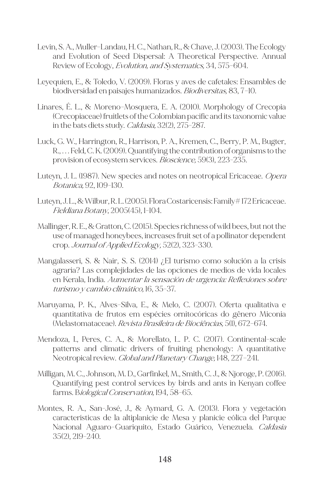- Levin, S. A., Muller-Landau, H. C., Nathan, R., & Chave, J. (2003). The Ecology and Evolution of Seed Dispersal: A Theoretical Perspective. Annual Review of Ecology, *Evolution, and Systematics*, 34, 575-604.
- Leyequien, E., & Toledo, V. (2009). Floras y aves de cafetales: Ensambles de biodiversidad en paisajes humanizados. *Biodiversitas*, 83, 7-10.
- Linares, É. L., & Moreno-Mosquera, E. A. (2010). Morphology of Crecopia (Crecopiaceae) fruitlets of the Colombian pacific and its taxonomic value in the bats diets study. *Caldasia*, 32(2), 275-287.
- Luck, G. W., Harrington, R., Harrison, P. A., Kremen, C., Berry, P. M., Bugter, R., . . . Feld, C. K. (2009). Quantifying the contribution of organisms to the provision of ecosystem services. *Bioscience*, 59(3), 223-235.
- Luteyn, J. L. (1987). New species and notes on neotropical Ericaceae. Opera Botanica, 92, 109-130.
- Luteyn, J. L., & Wilbur, R. L. (2005). Flora Costaricensis: Family# 172 Ericaceae. Fieldiana Botany, 2005(45), 1-104.
- Mallinger, R. E., & Gratton, C. (2015). Species richness of wild bees, but not the use of managed honeybees, increases fruit set of a pollinator dependent crop. Journal of Applied Ecology, 52(2), 323-330.
- Mangalasseri, S. & Nair, S. S. (2014) ¿El turismo como solución a la crisis agraria? Las complejidades de las opciones de medios de vida locales en Kerala, India. Aumentar la sensación de urgencia: Reflexiones sobre turismo y cambio climático, 16, 35-37.
- Maruyama, P. K., Alves-Silva, E., & Melo, C. (2007). Oferta qualitativa e quantitativa de frutos em espécies ornitocóricas do gênero Miconia (Melastomataceae). Revista Brasileira de Biociências, 5(1), 672–674.
- Mendoza, I., Peres, C. A., & Morellato, L. P. C. (2017). Continental-scale patterns and climatic drivers of fruiting phenology: A quantitative Neotropical review. *Global and Planetary Change*, 148, 227-241.
- Milligan, M. C., Johnson, M. D., Garfinkel, M., Smith, C. J., & Njoroge, P. (2016). Quantifying pest control services by birds and ants in Kenyan coffee farms. Biological Conservation, 194, 58-65.
- Montes, R. A., San-José, J., & Aymard, G. A. (2013). Flora y vegetación características de la altiplanicie de Mesa y planicie eólica del Parque Nacional Aguaro-Guariquito, Estado Guárico, Venezuela. *Caldasia* 35(2), 219-240.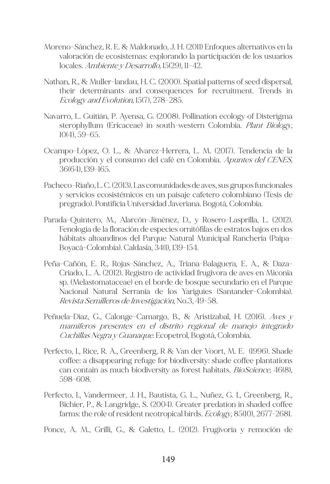- Moreno-Sánchez, R. E. & Maldonado, J. H. (2011) Enfoques alternativos en la valoración de ecosistemas: explorando la participación de los usuarios locales. Ambiente y Desarrollo, 15(29), 11-42.
- Nathan, R., & Muller-landau, H. C. (2000). Spatial patterns of seed dispersal, their determinants and consequences for recruitment. Trends in Ecology and Evolution, 15(7), 278–285.
- Navarro, L. Guitián, P. Ayensa, G. (2008). Pollination ecology of Disterigma sterophyllum (Ericaceae) in south-western Colombia. Plant Biology, 10(4), 59–65.
- Ocampo-López, O. L., & Alvarez-Herrera, L. M. (2017). Tendencia de la producción y el consumo del café en Colombia. Apuntes del CENES, 36(64), 139-165.
- Pacheco-Riaño, L. C. (2013). Las comunidades de aves, sus grupos funcionales y servicios ecosistémicos en un paisaje cafetero colombiano (Tesis de pregrado). Pontificia Universidad Javeriana. Bogotá, Colombia.
- Parada-Quintero, M., Alarcón-Jiménez, D., y Rosero-Lasprilla, L. (2012). Fenología de la floración de especies ornitófilas de estratos bajos en dos hábitats altoandinos del Parque Natural Municipal Ranchería (Paipa-Boyacá-Colombia). Caldasia, 34(1), 139–154.
- Peña-Cañón, E. R., Rojas-Sánchez, A., Triana-Balaguera, E. A., & Daza-Criado, L. A. (2012). Registro de actividad frugivora de aves en Miconia sp. (Melastomataceae) en el borde de bosque secundario en el Parque Nacional Natural Serranía de los Yariguíes (Santander-Colombia). Revista Semilleros de Investigación, No.3, 49-58.
- Peñuela-Diaz, G., Calonge-Camargo, B., & Aristizabal, H. (2016). Aves y mamíferos presentes en el distrito regional de manejo integrado Cuchillas Negra y Guanaque. Ecopetrol, Bogotá, Colombia.
- Perfecto, I., Rice, R. A., Greenberg, R & Van der Voort, M. E. (1996). Shade coffee: a disappearing refuge for biodiversity: shade coffee plantations can contain as much biodiversity as forest habitats. BioScience, 46(8), 598-608.
- Perfecto, I., Vandermeer, J. H., Bautista, G. L., Nuñez, G. I., Greenberg, R., Bichier, P., & Langridge, S. (2004). Greater predation in shaded coffee farms: the role of resident neotropical birds. *Ecology*, 85(10), 2677-2681.
- Ponce, A. M., Grilli, G., & Galetto, L. (2012). Frugivoría y remoción de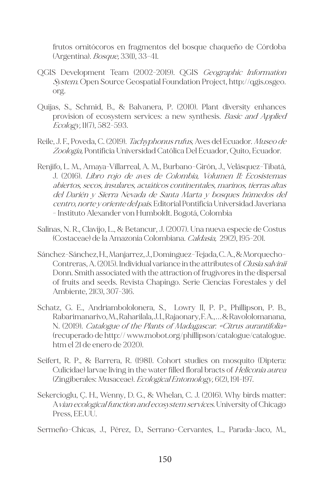frutos ornitócoros en fragmentos del bosque chaqueño de Córdoba (Argentina). *Bosque*, 33(1), 33-41.

- QGIS Development Team (2002-2019). QGIS Geographic Information System. Open Source Geospatial Foundation Project, http://qgis.osgeo. org.
- Quijas, S., Schmid, B., & Balvanera, P. (2010). Plant diversity enhances provision of ecosystem services: a new synthesis. *Basic and Applied* Ecology, 11(7), 582-593.
- Reile, J. F., Poveda, C. (2019). Tachyphonus rufus, Aves del Ecuador. Museo de Zoología, Pontificia Universidad Católica Del Ecuador, Quito, Ecuador.
- Renjifo, L. M., Amaya-Villarreal, A. M., Burbano-Girón, J., Velásquez-Tibatá, J. (2016). Libro rojo de aves de Colombia, Volumen II: Ecosistemas abiertos, secos, insulares, acuáticos continentales, marinos, tierras altas del Darién y Sierra Nevada de Santa Marta y bosques húmedos del centro, norte y oriente del país. Editorial Pontificia Universidad Javeriana - Instituto Alexander von Humboldt. Bogotá, Colombia
- Salinas, N. R., Clavijo, L., & Betancur, J. (2007). Una nueva especie de Costus (Costaceae) de la Amazonia Colombiana. Caldasia, 29(2), 195-201.
- Sánchez-Sánchez, H., Manjarrez, J., Domínguez-Tejada, C. A., & Morquecho-Contreras, A. (2015). Individual variance in the attributes of Clusia salvinii Donn. Smith associated with the attraction of frugivores in the dispersal of fruits and seeds. Revista Chapingo. Serie Ciencias Forestales y del Ambiente, 21(3), 307-316.
- Schatz, G. E., Andriambololonera, S., Lowry II, P. P., Phillipson, P. B., Rabarimanarivo, M., Raharilala, J. I., Rajaonary, F. A., . . . & Ravololomanana, N. (2019). Catalogue of the Plants of Madagascar. «Citrus aurantifolia» (recuperado de http:// www.mobot.org/phillipson/catalogue/catalogue. htm el 21 de enero de 2020).
- Seifert, R. P., & Barrera, R. (1981). Cohort studies on mosquito (Diptera: Culicidae) larvae living in the water filled floral bracts of *Heliconia aurea* (Zingiberales: Musaceae). Ecological Entomology, 6(2), 191-197.
- Sekercioglu, Ç. H., Wenny, D. G., & Whelan, C. J. (2016). Why birds matter: Avian ecological function and ecosystem services. University of Chicago Press, EE.UU.

Sermeño-Chicas, J., Pérez, D., Serrano-Cervantes, L., Parada-Jaco, M.,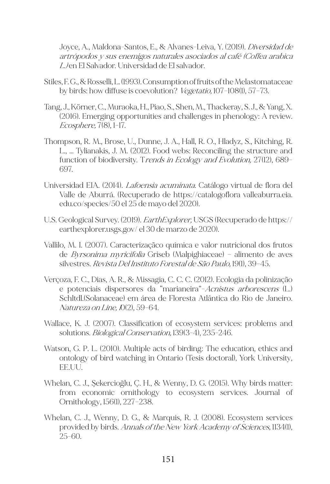Joyce, A., Maldona-Santos, E., & Alvanes-Leiva, Y. (2019). Diversidad de artrópodos y sus enemigos naturales asociados al café (Coffea arabica L.) en El Salvador. Universidad de El salvador.

- Stiles, F. G., & Rosselli, L. (1993). Consumption of fruits of the Melastomataceae by birds: how diffuse is coevolution? Vegetatio, 107–108(1), 57–73.
- Tang, J., Körner, C., Muraoka, H., Piao, S., Shen, M., Thackeray, S. J., & Yang, X. (2016). Emerging opportunities and challenges in phenology: A review. Ecosphere, 7(8), 1–17.
- Thompson, R. M., Brose, U., Dunne, J. A., Hall, R. O., Hladyz, S., Kitching, R. L., … Tylianakis, J. M. (2012). Food webs: Reconciling the structure and function of biodiversity. Trends in Ecology and Evolution, 27(12), 689-697.
- Universidad EIA. (2014). *Lafoensia acuminata*. Catálogo virtual de flora del Valle de Aburrá. (Recuperado de https://catalogoflora valleaburra.eia. edu.co/species/50 el 25 de mayo del 2020).
- U.S. Geological Survey. (2019). *EarthExplorer*, USGS (Recuperado de https:// earthexplorer.usgs.gov/ el 30 de marzo de 2020).
- Vallilo, M. I. (2007). Caracterizaçãco química e valor nutricional dos frutos de Byrsonima myricifolia Griseb (Malpighiaceae) – alimento de aves silvestres. Revista Del Instituto Forestal de São Paulo, 19(1), 39-45.
- Verçoza, F. C., Dias, A. R., & Missagia, C. C. C. (2012). Ecologia da polinização e potenciais dispersores da "marianeira"-Acnistus arborescens (L.) Schltdl.(Solanaceae) em área de Floresta Atlântica do Rio de Janeiro. Natureza on Line, 10(2), 59–64.
- Wallace, K. J. (2007). Classification of ecosystem services: problems and solutions. *Biological Conservation*, 139(3-4), 235-246.
- Watson, G. P. L. (2010). Multiple acts of birding: The education, ethics and ontology of bird watching in Ontario (Tesis doctoral), York University, EE.UU.
- Whelan, C. J., Şekercioğlu, Ç. H., & Wenny, D. G. (2015). Why birds matter: from economic ornithology to ecosystem services. Journal of Ornithology, 156(1), 227–238.
- Whelan, C. J., Wenny, D. G., & Marquis, R. J. (2008). Ecosystem services provided by birds. Annals of the New York Academy of Sciences, 1134(1), 25-60.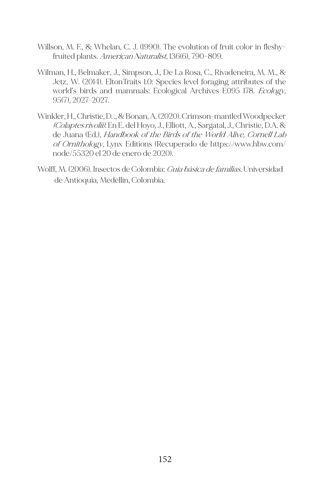- Willson, M. F., & Whelan, C. J. (1990). The evolution of fruit color in fleshyfruited plants. *American Naturalist*, 136(6), 790-809.
- Wilman, H., Belmaker, J., Simpson, J., De La Rosa, C., Rivadeneira, M. M., & Jetz, W. (2014). EltonTraits 1.0: Species level foraging attributes of the world's birds and mammals: Ecological Archives E095 178. Ecology, 95(7), 2027-2027.
- Winkler, H., Christie, D. ., & Bonan, A. (2020). Crimson-mantled Woodpecker (Colaptes rivolii). En E. del Hoyo, J., Elliott, A., Sargatal, J., Christie, D.A. & de Juana (Ed.), Handbook of the Birds of the World Alive, Cornell Lab of Ornithology, Lynx Editions (Recuperado de https://www.hbw.com/ node/55320 el 20 de enero de 2020).
- Wolff, M. (2006). Insectos de Colombia: Guía básica de familias. Universidad de Antioquia, Medellín, Colombia.